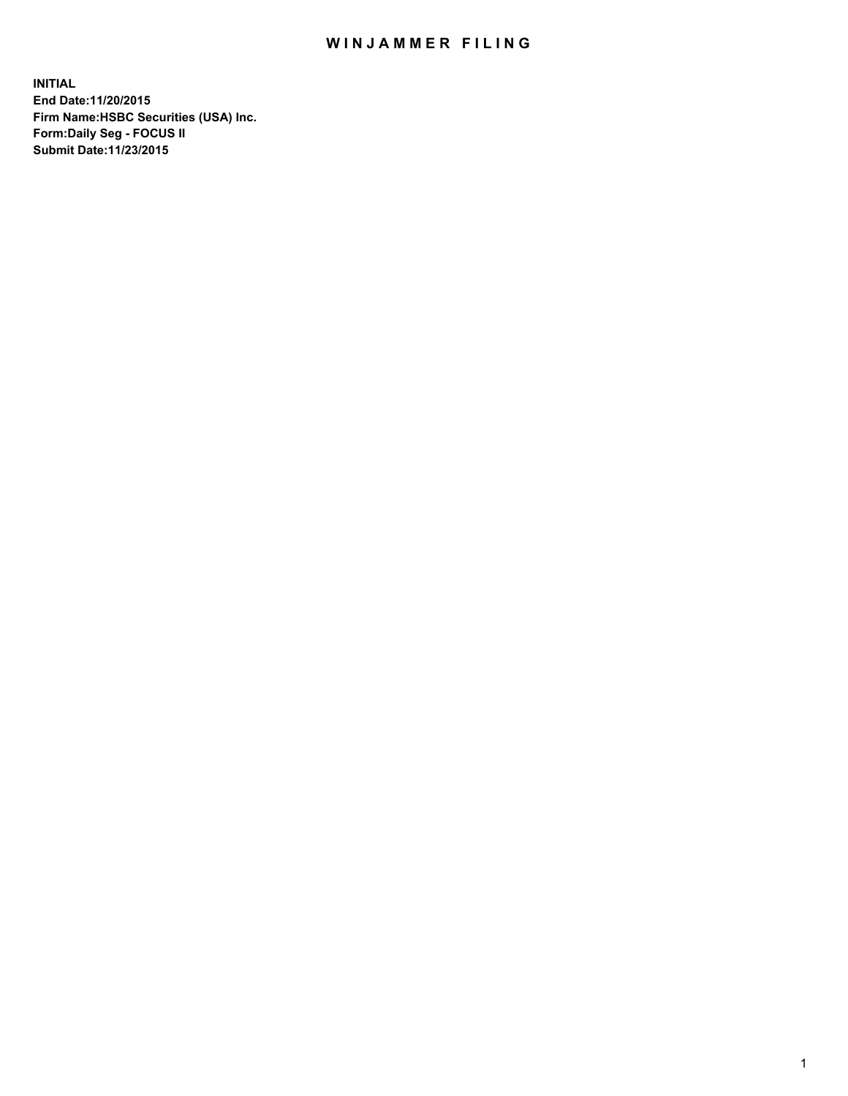## WIN JAMMER FILING

**INITIAL End Date:11/20/2015 Firm Name:HSBC Securities (USA) Inc. Form:Daily Seg - FOCUS II Submit Date:11/23/2015**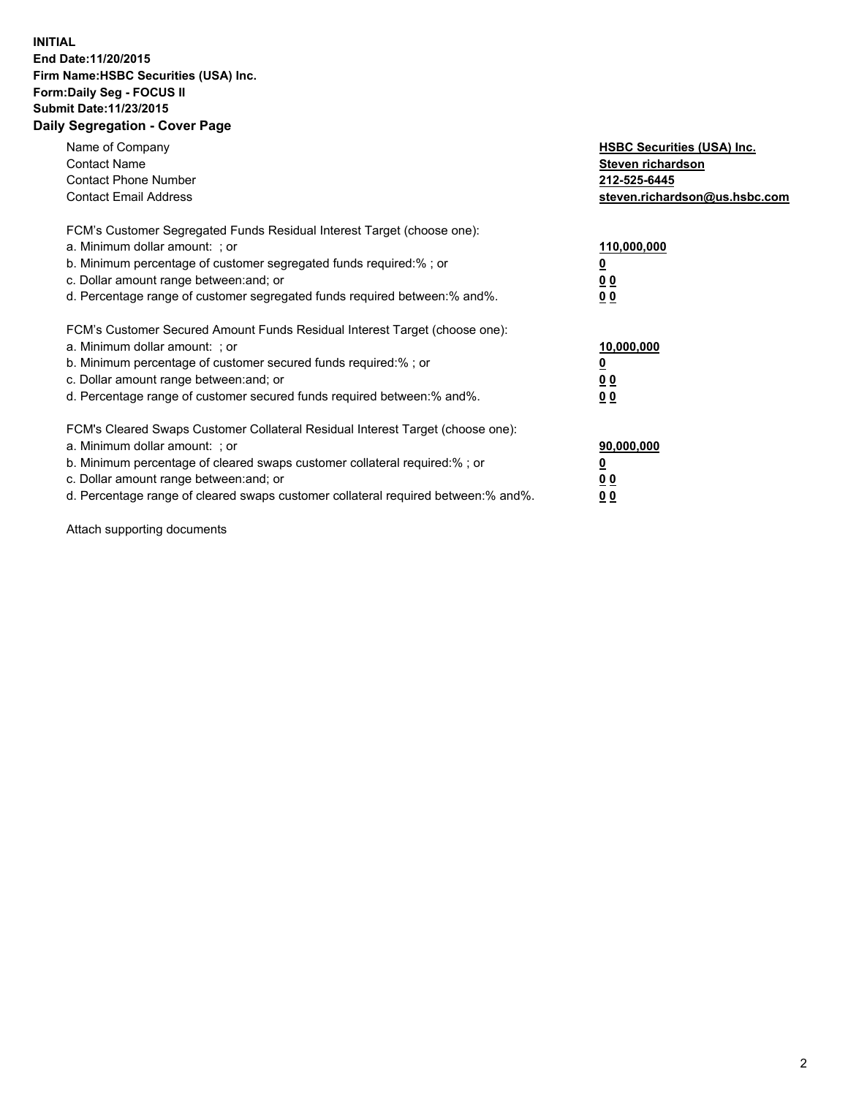## **INITIAL End Date:11/20/2015 Firm Name:HSBC Securities (USA) Inc. Form:Daily Seg - FOCUS II Submit Date:11/23/2015 Daily Segregation - Cover Page**

| Name of Company<br><b>Contact Name</b><br><b>Contact Phone Number</b><br><b>Contact Email Address</b>                                                                                                                                                                                                                         | <b>HSBC Securities (USA) Inc.</b><br>Steven richardson<br>212-525-6445<br>steven.richardson@us.hsbc.com |
|-------------------------------------------------------------------------------------------------------------------------------------------------------------------------------------------------------------------------------------------------------------------------------------------------------------------------------|---------------------------------------------------------------------------------------------------------|
| FCM's Customer Segregated Funds Residual Interest Target (choose one):<br>a. Minimum dollar amount: ; or<br>b. Minimum percentage of customer segregated funds required:% ; or<br>c. Dollar amount range between: and; or<br>d. Percentage range of customer segregated funds required between:% and%.                        | 110,000,000<br><u>0</u><br>0 <sub>0</sub><br>0 <sub>0</sub>                                             |
| FCM's Customer Secured Amount Funds Residual Interest Target (choose one):<br>a. Minimum dollar amount: ; or<br>b. Minimum percentage of customer secured funds required:%; or<br>c. Dollar amount range between: and; or<br>d. Percentage range of customer secured funds required between:% and%.                           | 10,000,000<br>0 <sub>0</sub><br>0 <sub>0</sub>                                                          |
| FCM's Cleared Swaps Customer Collateral Residual Interest Target (choose one):<br>a. Minimum dollar amount: ; or<br>b. Minimum percentage of cleared swaps customer collateral required:%; or<br>c. Dollar amount range between: and; or<br>d. Percentage range of cleared swaps customer collateral required between:% and%. | 90,000,000<br>0 <sub>0</sub><br>00                                                                      |

Attach supporting documents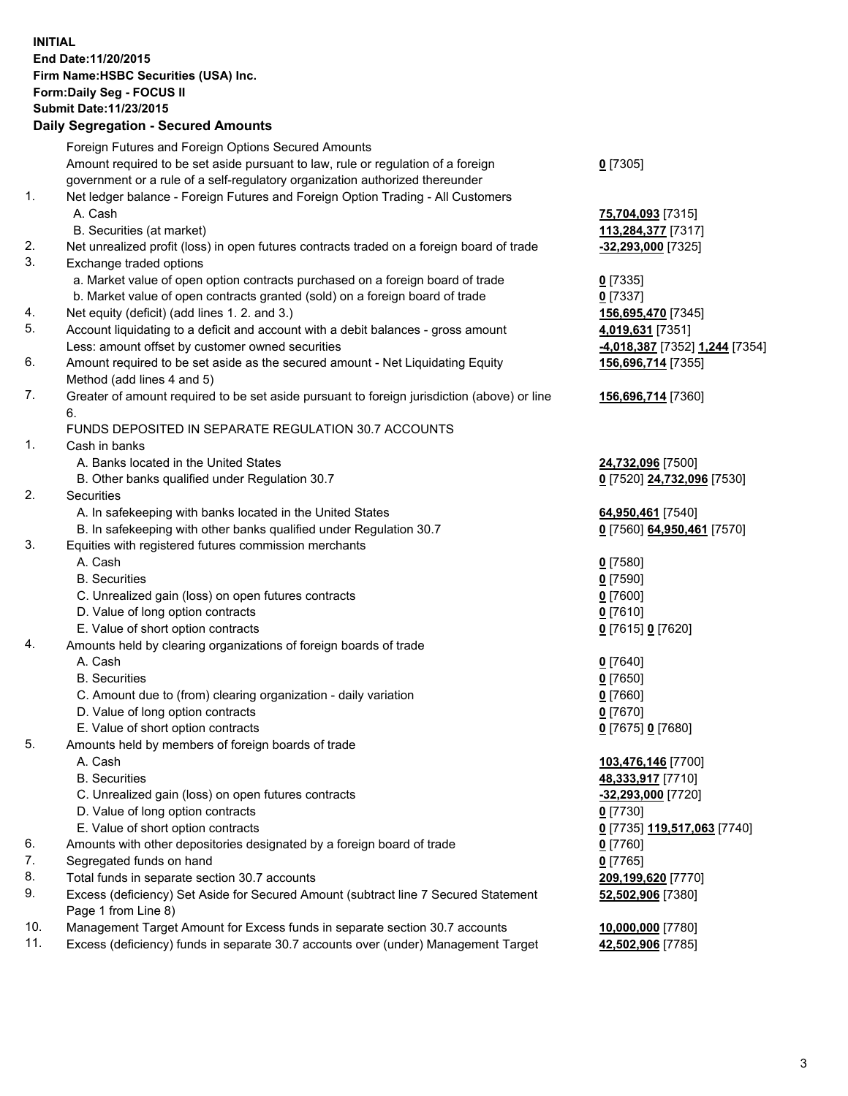**INITIAL End Date:11/20/2015 Firm Name:HSBC Securities (USA) Inc. Form:Daily Seg - FOCUS II Submit Date:11/23/2015**

## **Daily Segregation - Secured Amounts** Foreign Futures and Foreign Options Secured Amounts Amount required to be set aside pursuant to law, rule or regulation of a foreign government or a rule of a self-regulatory organization authorized thereunder **0** [7305] 1. Net ledger balance - Foreign Futures and Foreign Option Trading - All Customers A. Cash **75,704,093** [7315] B. Securities (at market) **113,284,377** [7317] 2. Net unrealized profit (loss) in open futures contracts traded on a foreign board of trade **-32,293,000** [7325] 3. Exchange traded options a. Market value of open option contracts purchased on a foreign board of trade **0** [7335] b. Market value of open contracts granted (sold) on a foreign board of trade **0** [7337] 4. Net equity (deficit) (add lines 1. 2. and 3.) **156,695,470** [7345] 5. Account liquidating to a deficit and account with a debit balances - gross amount **4,019,631** [7351] Less: amount offset by customer owned securities **-4,018,387** [7352] **1,244** [7354] 6. Amount required to be set aside as the secured amount - Net Liquidating Equity Method (add lines 4 and 5) **156,696,714** [7355] 7. Greater of amount required to be set aside pursuant to foreign jurisdiction (above) or line 6. **156,696,714** [7360] FUNDS DEPOSITED IN SEPARATE REGULATION 30.7 ACCOUNTS 1. Cash in banks A. Banks located in the United States **24,732,096** [7500] B. Other banks qualified under Regulation 30.7 **0** [7520] **24,732,096** [7530] 2. Securities A. In safekeeping with banks located in the United States **64,950,461** [7540] B. In safekeeping with other banks qualified under Regulation 30.7 **0** [7560] **64,950,461** [7570] 3. Equities with registered futures commission merchants A. Cash **0** [7580] B. Securities **0** [7590] C. Unrealized gain (loss) on open futures contracts **0** [7600] D. Value of long option contracts **0** [7610] E. Value of short option contracts **0** [7615] **0** [7620] 4. Amounts held by clearing organizations of foreign boards of trade A. Cash **0** [7640] B. Securities **0** [7650] C. Amount due to (from) clearing organization - daily variation **0** [7660] D. Value of long option contracts **0** [7670] E. Value of short option contracts **0** [7675] **0** [7680] 5. Amounts held by members of foreign boards of trade A. Cash **103,476,146** [7700] B. Securities **48,333,917** [7710] C. Unrealized gain (loss) on open futures contracts **-32,293,000** [7720] D. Value of long option contracts **0** [7730] E. Value of short option contracts **0** [7735] **119,517,063** [7740] 6. Amounts with other depositories designated by a foreign board of trade **0** [7760] 7. Segregated funds on hand **0** [7765]

- 8. Total funds in separate section 30.7 accounts **209,199,620** [7770]
- 9. Excess (deficiency) Set Aside for Secured Amount (subtract line 7 Secured Statement Page 1 from Line 8)
- 10. Management Target Amount for Excess funds in separate section 30.7 accounts **10,000,000** [7780]
- 11. Excess (deficiency) funds in separate 30.7 accounts over (under) Management Target **42,502,906** [7785]

**52,502,906** [7380]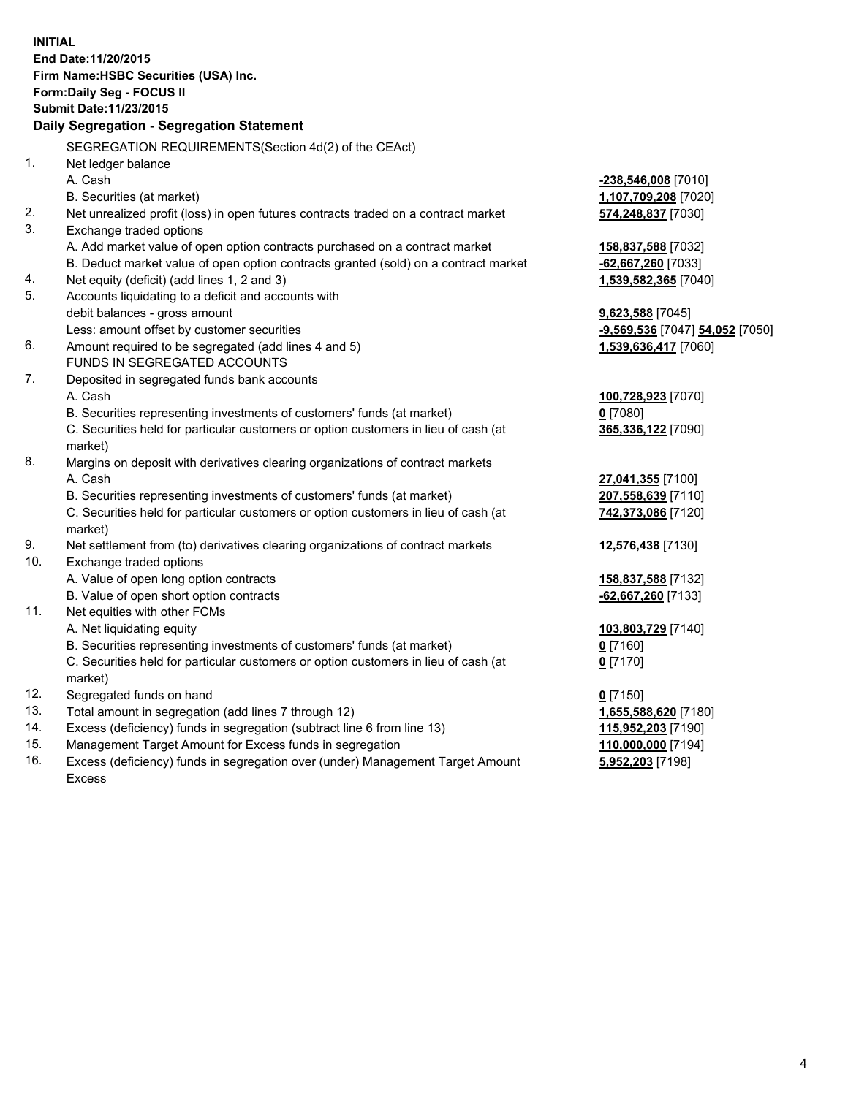**INITIAL End Date:11/20/2015 Firm Name:HSBC Securities (USA) Inc. Form:Daily Seg - FOCUS II Submit Date:11/23/2015 Daily Segregation - Segregation Statement** SEGREGATION REQUIREMENTS(Section 4d(2) of the CEAct) 1. Net ledger balance A. Cash **-238,546,008** [7010] B. Securities (at market) **1,107,709,208** [7020] 2. Net unrealized profit (loss) in open futures contracts traded on a contract market **574,248,837** [7030] 3. Exchange traded options A. Add market value of open option contracts purchased on a contract market **158,837,588** [7032] B. Deduct market value of open option contracts granted (sold) on a contract market **-62,667,260** [7033] 4. Net equity (deficit) (add lines 1, 2 and 3) **1,539,582,365** [7040] 5. Accounts liquidating to a deficit and accounts with debit balances - gross amount **9,623,588** [7045] Less: amount offset by customer securities **-9,569,536** [7047] **54,052** [7050] 6. Amount required to be segregated (add lines 4 and 5) **1,539,636,417** [7060] FUNDS IN SEGREGATED ACCOUNTS 7. Deposited in segregated funds bank accounts A. Cash **100,728,923** [7070] B. Securities representing investments of customers' funds (at market) **0** [7080] C. Securities held for particular customers or option customers in lieu of cash (at market) **365,336,122** [7090] 8. Margins on deposit with derivatives clearing organizations of contract markets A. Cash **27,041,355** [7100] B. Securities representing investments of customers' funds (at market) **207,558,639** [7110] C. Securities held for particular customers or option customers in lieu of cash (at market) **742,373,086** [7120] 9. Net settlement from (to) derivatives clearing organizations of contract markets **12,576,438** [7130] 10. Exchange traded options A. Value of open long option contracts **158,837,588** [7132] B. Value of open short option contracts **-62,667,260** [7133] 11. Net equities with other FCMs A. Net liquidating equity **103,803,729** [7140] B. Securities representing investments of customers' funds (at market) **0** [7160] C. Securities held for particular customers or option customers in lieu of cash (at market) **0** [7170] 12. Segregated funds on hand **0** [7150] 13. Total amount in segregation (add lines 7 through 12) **1,655,588,620** [7180] 14. Excess (deficiency) funds in segregation (subtract line 6 from line 13) **115,952,203** [7190] 15. Management Target Amount for Excess funds in segregation **110,000,000** [7194]

16. Excess (deficiency) funds in segregation over (under) Management Target Amount Excess

**5,952,203** [7198]